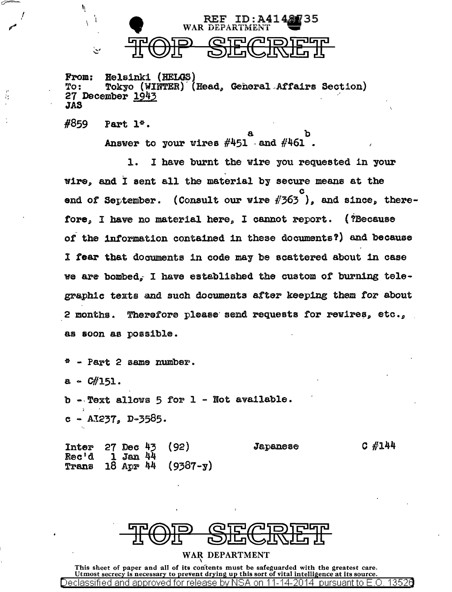

From: Helsinki (HELGS)<br>To: Tokyo (WINTER) (Head, General Affairs Section) To: Tokyo (WINTER<br>27 December <u>1943</u><br>\*^ JAS

 $#859$  Part  $1^{\circ}$ .

Ņ

Ĵ.  $\mathbf{t}$ 

ىن

I'  $\mathbf{r}$ 

f I

> a b Answer to your wires  $\#451$  and  $\#461$ .

1. I have burnt the wire you requested in your wire, and I sent all the material by secure means at the c end of September. (Consult our wire  $\#363$  ), and since, therefore, I have no material here, I cannot report. (?Because *oi* the 1ntormation contained in the5e documents?) and because l tear that documents in code may be scattered about in case we are bombed. I have established the custom of burning telegraphic texts and such documents attar keeping them for about 2 months. Therefore please send requests for rewires,  $etc.,$ as soon as possible.

 $P^*$  - Part 2 same number.

 $a - C#151.$ 

b -.Text allows 5 for 1 - Not available.  $e$  - AI237, D-3585.

Inter Rec'd 1'ra.ns 27 Dee 43 l Jan 44 18 ApF> 44 (92) (9387-y) Japanese c #144



WAR DEPARTMENT

This sheet of paper and all of its contents must be safeguarded with the greatest care.<br>Utmost secrecy is necessary to prevent drying up this sort of vital intelligence at its source. Declassified and approved for release by NSA on 11-14-2014 pursuant to E.O. 13526